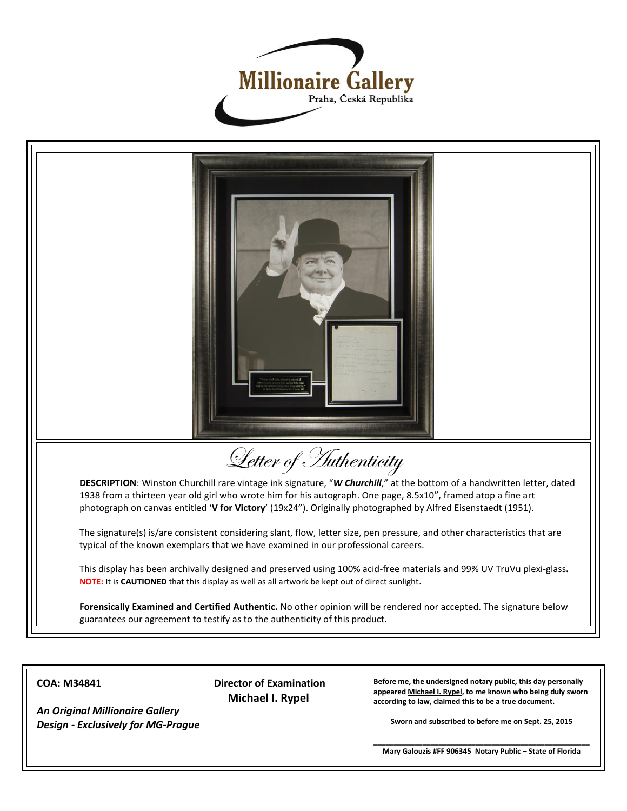



**COA: M34841**

*An Original Millionaire Gallery Design - Exclusively for MG-Prague* **Director of Examination Michael I. Rypel**

**Before me, the undersigned notary public, this day personally appeared Michael I. Rypel, to me known who being duly sworn according to law, claimed this to be a true document.**

**Sworn and subscribed to before me on Sept. 25, 2015**

**\_\_\_\_\_\_\_\_\_\_\_\_\_\_\_\_\_\_\_\_\_\_\_\_\_\_\_\_\_\_\_\_\_\_\_\_\_\_\_\_\_\_\_\_\_\_\_\_\_\_\_\_\_ Mary Galouzis #FF 906345 Notary Public – State of Florida**